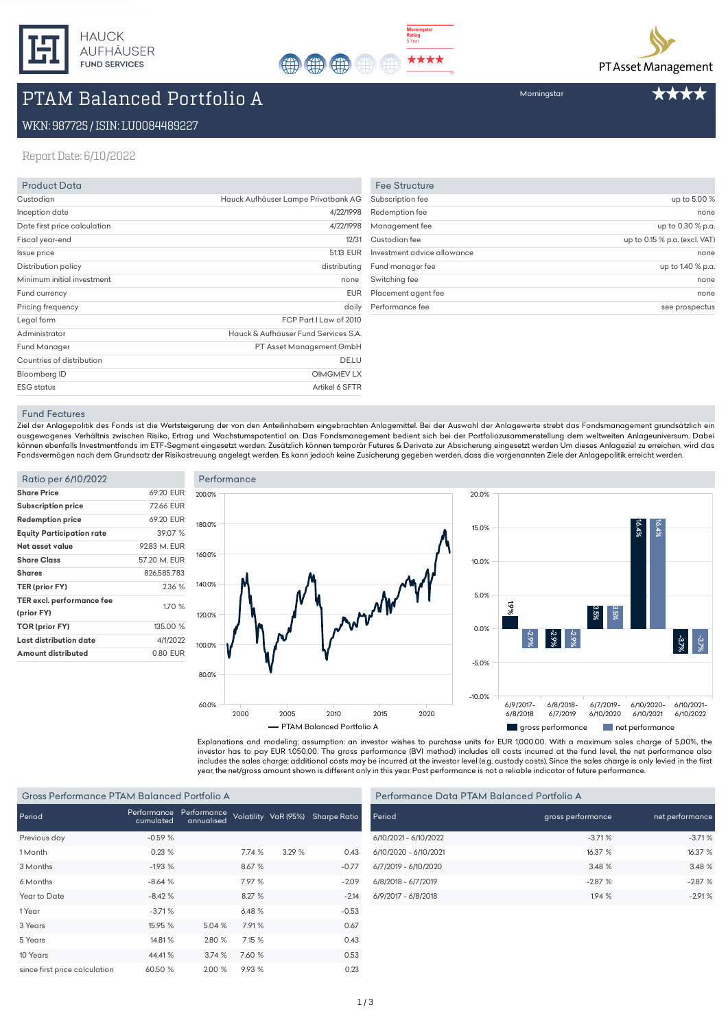



# PTAM Balanced Portfolio A

### WKN:987725/ISIN:LU0084489227

ReportDate:6/10/2022

| <b>Product Data</b>          |                                      |
|------------------------------|--------------------------------------|
| Custodian                    | Hauck Aufhäuser Lampe Privatbank AG  |
| Inception date               | 4/22/1998                            |
| Date first price calculation | 4/22/1998                            |
| Fiscal year-end              | 12/31                                |
| Issue price                  | 51.13 EUR                            |
| Distribution policy          | distributing                         |
| Minimum initial investment   | none                                 |
| Fund currency                | <b>EUR</b>                           |
| Pricing frequency            | daily                                |
| Legal form                   | FCP Part I Law of 2010               |
| Administrator                | Hauck & Aufhäuser Fund Services S.A. |
| <b>Fund Manager</b>          | PT Asset Management GmbH             |
| Countries of distribution    | DE,LU                                |
| Bloomberg ID                 | <b>OIMGMEV LX</b>                    |
| <b>ESG</b> status            | Artikel 6 SFTR                       |

| <b>Fee Structure</b><br>up to 5.00 %<br>none<br>up to 0.30 % p.a.<br>up to 0.15 % p.a. (excl. VAT)<br>none<br>up to 1.40 % p.a.<br>none<br>none |                             |                |
|-------------------------------------------------------------------------------------------------------------------------------------------------|-----------------------------|----------------|
|                                                                                                                                                 |                             |                |
|                                                                                                                                                 | Subscription fee            |                |
|                                                                                                                                                 | Redemption fee              |                |
|                                                                                                                                                 | Management fee              |                |
|                                                                                                                                                 | Custodian fee               |                |
|                                                                                                                                                 | Investment advice allowance |                |
|                                                                                                                                                 | Fund manager fee            |                |
|                                                                                                                                                 | Switching fee               |                |
|                                                                                                                                                 | Placement agent fee         |                |
|                                                                                                                                                 | Performance fee             | see prospectus |

#### Fund Features

Ziel der Anlagepolitik des Fonds ist die Wertsteigerung der von den Anteilinhabern eingebrachten Anlagemittel. Bei der Auswahl der Anlagewerte strebt das Fondsmanagement grundsätzlich ein ausgewogenes Verhältnis zwischen Risiko, Ertrag und Wachstumspotential an. Das Fondsmanagement bedient sich bei der Portfoliozusammenstellung dem weltweiten Anlageuniversum. Dabei können ebenfalls Investmentfonds im ETF-Segment eingesetzt werden. Zusätzlich können temporär Futures & Derivate zur Absicherung eingesetzt werden Um dieses Anlageziel zu erreichen, wird das Fondsvermögen nach dem Grundsatz der Risikostreuung angelegt werden. Es kann jedoch keine Zusicherung gegeben werden, dass die vorgenannten Ziele der Anlagepolitik erreicht werden.

| Ratio per 6/10/2022                     |              |
|-----------------------------------------|--------------|
| <b>Share Price</b>                      | 69.20 EUR    |
| <b>Subscription price</b>               | 7266 FUR     |
| <b>Redemption price</b>                 | 69.20 EUR    |
| <b>Equity Participation rate</b>        | 3907%        |
| Net asset value                         | 9283 M FUR   |
| <b>Share Class</b>                      | 57.20 M. EUR |
| Shares                                  | 826,585.783  |
| TER (prior FY)                          | 236 %        |
| TER excl. performance fee<br>(prior FY) | 1.70 %       |
| TOR (prior FY)                          | 135.00 %     |
| Last distribution date                  | 4/1/2022     |
| Amount distributed                      | 0.80 EUR     |
|                                         |              |





Explanations and modeling; assumption: an investor wishes to purchase units for EUR 1,000.00. With a maximum sales charge of 5,00%, the investor has to pay EUR 1.050,00. The gross performance (BVI method) includes all costs incurred at the fund level, the net performance also includes the sales charge; additional costs may be incurred at the investor level (e.g. custody costs). Since the sales charge is only levied in the first year, the net/gross amount shown is different only in this year. Past performance is not a reliable indicator of future performance.

#### Gross Performance PTAM Balanced Portfolio A

| Period                        | Performance<br>cumulated | Performance<br>annualised |        | Volatility VaR (95%) | <b>Sharpe Ratio</b> |
|-------------------------------|--------------------------|---------------------------|--------|----------------------|---------------------|
| Previous day                  | $-0.59%$                 |                           |        |                      |                     |
| 1 Month                       | 0.23%                    |                           | 7.74%  | 3.29%                | 0.43                |
| 3 Months                      | $-1.93%$                 |                           | 8.67 % |                      | $-0.77$             |
| 6 Months                      | $-8.64%$                 |                           | 7.97 % |                      | $-2.09$             |
| Year to Date                  | $-8.42%$                 |                           | 8.27%  |                      | $-2.14$             |
| 1 Year                        | $-3.71%$                 |                           | 6.48%  |                      | $-0.53$             |
| 3 Years                       | 15.95 %                  | 5.04%                     | 7.91%  |                      | 0.67                |
| 5 Years                       | 14.81 %                  | 2.80 %                    | 7.15 % |                      | 0.43                |
| 10 Years                      | 44.41%                   | 3.74%                     | 7.60 % |                      | 0.53                |
| since first price calculation | 60.50 %                  | 2.00%                     | 9.93 % |                      | 0.23                |

| Performance Data PTAM Balanced Portfolio A |                   |                 |  |
|--------------------------------------------|-------------------|-----------------|--|
| Period                                     | gross performance | net performance |  |
| 6/10/2021 - 6/10/2022                      | $-3.71%$          | $-3.71%$        |  |
| 6/10/2020 - 6/10/2021                      | 16.37%            | 16.37 %         |  |
| 6/7/2019 - 6/10/2020                       | 3.48%             | 3.48%           |  |
| 6/8/2018 - 6/7/2019                        | $-2.87%$          | $-2.87%$        |  |
| 6/9/2017 - 6/8/2018                        | 1.94%             | $-2.91%$        |  |

# Morningstar

\*\*\*\*

PT Asset Management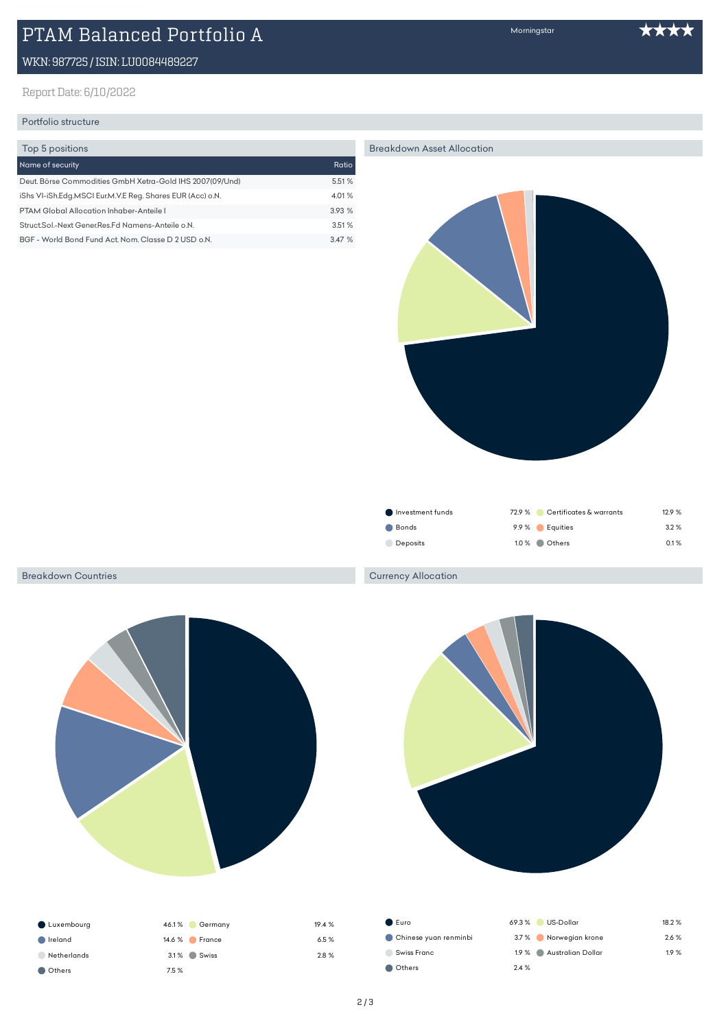# PTAM Balanced Portfolio A

# WKN:987725/ISIN:LU0084489227

# Report Date: 6/10/2022

# Portfolio structure

| Top 5 positions                                           |        |
|-----------------------------------------------------------|--------|
| Name of security                                          | Ratio  |
| Deut. Börse Commodities GmbH Xetra-Gold IHS 2007(09/Und)  | 5.51 % |
| iShs VI-iSh.Edg.MSCI Eur.M.V.E Reg. Shares EUR (Acc) o.N. | 4.01%  |
| PTAM Global Allocation Inhaber-Anteile I                  | 3.93%  |
| Struct.Sol.-Next Gener.Res.Fd Namens-Anteile o.N.         | 3.51%  |
| BGF - World Bond Fund Act. Nom. Classe D 2 USD o.N.       | 347%   |

Morningstar

#### Breakdown Asset Allocation



| ● Investment funds |                | 72.9 % Certificates & warrants | 129% |
|--------------------|----------------|--------------------------------|------|
| Bonds              | 9.9 % Equities |                                | 3.2% |
| <b>Deposits</b>    | 1.0 % Others   |                                | 0.1% |

### Breakdown Countries



| Luxembourg  | $46.1\%$<br>Germany       | 19.4 % |
|-------------|---------------------------|--------|
| Ireland     | $14.6\%$<br><b>France</b> | 6.5%   |
| Netherlands | 3.1% Swiss                | 2.8 %  |
| Others      | 7.5 %                     |        |

### Currency Allocation



| $\bullet$ Euro        | 69.3%<br>US-Dollar      | 18.2 % |
|-----------------------|-------------------------|--------|
| Chinese yuan renminbi | 3.7% Norwegian krone    | 2.6%   |
| Swiss Franc           | 1.9 % Australian Dollar | 1.9%   |
| Others                | 2.4%                    |        |